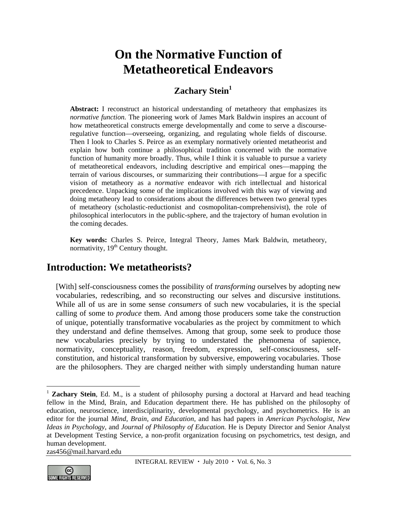# **On the Normative Function of Metatheoretical Endeavors**

### **Zachary Stein**<sup>1</sup>

**Abstract:** I reconstruct an historical understanding of metatheory that emphasizes its *normative function.* The pioneering work of James Mark Baldwin inspires an account of how metatheoretical constructs emerge developmentally and come to serve a discourseregulative function—overseeing, organizing, and regulating whole fields of discourse. Then I look to Charles S. Peirce as an exemplary normatively oriented metatheorist and explain how both continue a philosophical tradition concerned with the normative function of humanity more broadly. Thus, while I think it is valuable to pursue a variety of metatheoretical endeavors, including descriptive and empirical ones—mapping the terrain of various discourses, or summarizing their contributions—I argue for a specific vision of metatheory as a *normative* endeavor with rich intellectual and historical precedence. Unpacking some of the implications involved with this way of viewing and doing metatheory lead to considerations about the differences between two general types of metatheory (scholastic-reductionist and cosmopolitan-comprehensivist), the role of philosophical interlocutors in the public-sphere, and the trajectory of human evolution in the coming decades.

**Key words:** Charles S. Peirce, Integral Theory, James Mark Baldwin, metatheory, normativity,  $19<sup>th</sup>$  Century thought.

# **Introduction: We metatheorists?**

[With] self-consciousness comes the possibility of *transforming* ourselves by adopting new vocabularies, redescribing, and so reconstructing our selves and discursive institutions. While all of us are in some sense *consumers* of such new vocabularies, it is the special calling of some to *produce* them. And among those producers some take the construction of unique, potentially transformative vocabularies as the project by commitment to which they understand and define themselves. Among that group, some seek to produce those new vocabularies precisely by trying to understated the phenomena of sapience, normativity, conceptuality, reason, freedom, expression, self-consciousness, selfconstitution, and historical transformation by subversive, empowering vocabularies. Those are the philosophers. They are charged neither with simply understanding human nature

zas456@mail.harvard.edu



 $\overline{a}$ 

<sup>&</sup>lt;sup>1</sup> **Zachary Stein**, Ed. M., is a student of philosophy pursing a doctoral at Harvard and head teaching fellow in the Mind, Brain, and Education department there. He has published on the philosophy of education, neuroscience, interdisciplinarity, developmental psychology, and psychometrics. He is an editor for the journal *Mind, Brain, and Education*, and has had papers in *American Psychologist*, *New Ideas in Psychology*, and *Journal of Philosophy of Education.* He is Deputy Director and Senior Analyst at Development Testing Service, a non-profit organization focusing on psychometrics, test design, and human development.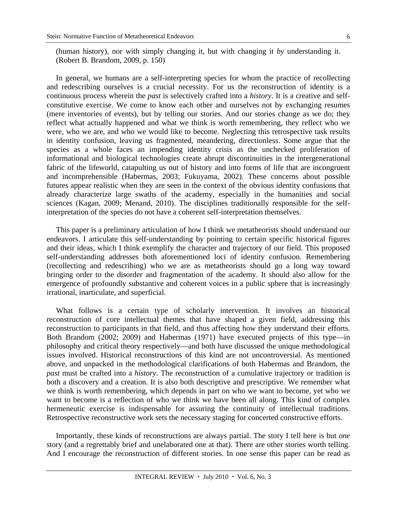(human history), nor with simply changing it, but with changing it *by* understanding it. (Robert B. Brandom, 2009, p. 150)

In general, we humans are a self-interpreting species for whom the practice of recollecting and redescribing ourselves is a crucial necessity. For us the reconstruction of identity is a continuous process wherein the *past* is selectively crafted into a *history*. It is a creative and selfconstitutive exercise. We come to know each other and ourselves not by exchanging resumes (mere inventories of events), but by telling our stories. And our stories change as we do; they reflect what actually happened and what we think is worth remembering, they reflect who we were, who we are, and who we would like to become. Neglecting this retrospective task results in identity confusion, leaving us fragmented, meandering, directionless. Some argue that the species as a whole faces an impending identity crisis as the unchecked proliferation of informational and biological technologies create abrupt discontinuities in the intergenerational fabric of the lifeworld, catapulting us out of history and into forms of life that are incongruent and incomprehensible (Habermas, 2003; Fukuyama, 2002). These concerns about possible futures appear realistic when they are seen in the context of the obvious identity confusions that already characterize large swaths of the academy, especially in the humanities and social sciences (Kagan, 2009; Menand, 2010). The disciplines traditionally responsible for the selfinterpretation of the species do not have a coherent self-interpretation themselves.

This paper is a preliminary articulation of how I think we metatheorists should understand our endeavors. I articulate this self-understanding by pointing to certain specific historical figures and their ideas, which I think exemplify the character and trajectory of our field. This proposed self-understanding addresses both aforementioned loci of identity confusion. Remembering (recollecting and redescribing) who we are as metatheorists should go a long way toward bringing order to the disorder and fragmentation of the academy. It should also allow for the emergence of profoundly substantive and coherent voices in a public sphere that is increasingly irrational, inarticulate, and superficial.

What follows is a certain type of scholarly intervention. It involves an historical reconstruction of core intellectual themes that have shaped a given field, addressing this reconstruction to participants in that field, and thus affecting how they understand their efforts. Both Brandom (2002; 2009) and Habermas (1971) have executed projects of this type—in philosophy and critical theory respectively—and both have discussed the unique methodological issues involved. Historical reconstructions of this kind are not uncontroversial. As mentioned above, and unpacked in the methodological clarifications of both Habermas and Brandom, the *past* must be crafted into a *history*. The reconstruction of a cumulative trajectory or tradition is both a discovery and a creation. It is also both descriptive and prescriptive. We remember what we think is worth remembering, which depends in part on who we want to become, yet who we want to become is a reflection of who we think we have been all along. This kind of complex hermeneutic exercise is indispensable for assuring the continuity of intellectual traditions. Retrospective reconstructive work sets the necessary staging for concerted constructive efforts.

Importantly, these kinds of reconstructions are always partial. The story I tell here is but *one* story (and a regrettably brief and unelaborated one at that). There are other stories worth telling. And I encourage the reconstruction of different stories. In one sense this paper can be read as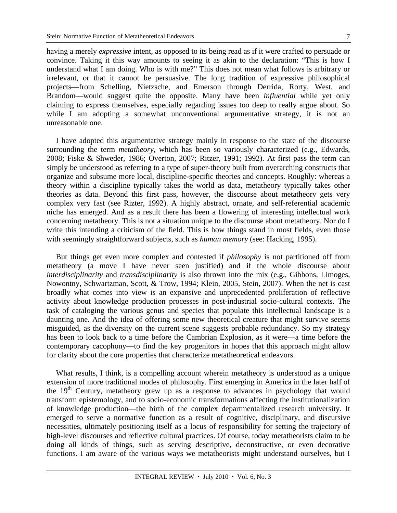having a merely *expressive* intent, as opposed to its being read as if it were crafted to persuade or convince. Taking it this way amounts to seeing it as akin to the declaration: "This is how I understand what I am doing. Who is with me?" This does not mean what follows is arbitrary or irrelevant, or that it cannot be persuasive. The long tradition of expressive philosophical projects—from Schelling, Nietzsche, and Emerson through Derrida, Rorty, West, and Brandom—would suggest quite the opposite. Many have been *influential* while yet only claiming to express themselves, especially regarding issues too deep to really argue about. So while I am adopting a somewhat unconventional argumentative strategy, it is not an unreasonable one.

I have adopted this argumentative strategy mainly in response to the state of the discourse surrounding the term *metatheory,* which has been so variously characterized (e.g., Edwards, 2008; Fiske & Shweder, 1986; Overton, 2007; Ritzer, 1991; 1992). At first pass the term can simply be understood as referring to a type of super-theory built from overarching constructs that organize and subsume more local, discipline-specific theories and concepts. Roughly: whereas a theory within a discipline typically takes the world as data, metatheory typically takes other theories as data. Beyond this first pass, however, the discourse about metatheory gets very complex very fast (see Rizter, 1992). A highly abstract, ornate, and self-referential academic niche has emerged. And as a result there has been a flowering of interesting intellectual work concerning metatheory. This is not a situation unique to the discourse about metatheory. Nor do I write this intending a criticism of the field. This is how things stand in most fields, even those with seemingly straightforward subjects, such as *human memory* (see: Hacking, 1995).

But things get even more complex and contested if *philosophy* is not partitioned off from metatheory (a move I have never seen justified) and if the whole discourse about *interdisciplinarity* and *transdisciplinarity* is also thrown into the mix (e.g., Gibbons, Limoges, Nowontny, Schwartzman, Scott, & Trow, 1994; Klein, 2005, Stein, 2007). When the net is cast broadly what comes into view is an expansive and unprecedented proliferation of reflective activity about knowledge production processes in post-industrial socio-cultural contexts. The task of cataloging the various genus and species that populate this intellectual landscape is a daunting one. And the idea of offering some new theoretical creature that might survive seems misguided, as the diversity on the current scene suggests probable redundancy. So my strategy has been to look back to a time before the Cambrian Explosion, as it were—a time before the contemporary cacophony—to find the key progenitors in hopes that this approach might allow for clarity about the core properties that characterize metatheoretical endeavors.

What results, I think, is a compelling account wherein metatheory is understood as a unique extension of more traditional modes of philosophy. First emerging in America in the later half of the  $19<sup>th</sup>$  Century, metatheory grew up as a response to advances in psychology that would transform epistemology, and to socio-economic transformations affecting the institutionalization of knowledge production—the birth of the complex departmentalized research university. It emerged to serve a normative function as a result of cognitive, disciplinary, and discursive necessities, ultimately positioning itself as a locus of responsibility for setting the trajectory of high-level discourses and reflective cultural practices. Of course, today metatheorists claim to be doing all kinds of things, such as serving descriptive, deconstructive, or even decorative functions. I am aware of the various ways we metatheorists might understand ourselves, but I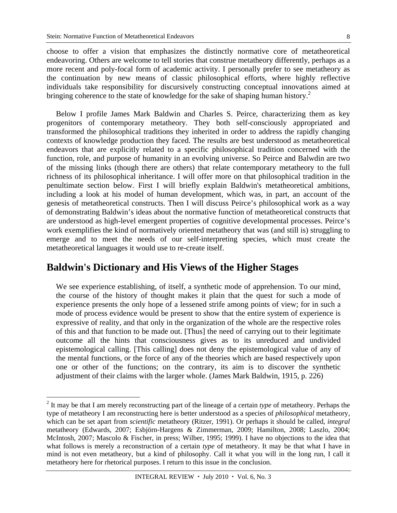$\overline{a}$ 

choose to offer a vision that emphasizes the distinctly normative core of metatheoretical endeavoring. Others are welcome to tell stories that construe metatheory differently, perhaps as a more recent and poly-focal form of academic activity. I personally prefer to see metatheory as the continuation by new means of classic philosophical efforts, where highly reflective individuals take responsibility for discursively constructing conceptual innovations aimed at bringing coherence to the state of knowledge for the sake of shaping human history.<sup>2</sup>

Below I profile James Mark Baldwin and Charles S. Peirce, characterizing them as key progenitors of contemporary metatheory. They both self-consciously appropriated and transformed the philosophical traditions they inherited in order to address the rapidly changing contexts of knowledge production they faced. The results are best understood as metatheoretical endeavors that are explicitly related to a specific philosophical tradition concerned with the function, role, and purpose of humanity in an evolving universe. So Peirce and Balwdin are two of the missing links (though there are others) that relate contemporary metatheory to the full richness of its philosophical inheritance. I will offer more on that philosophical tradition in the penultimate section below. First I will briefly explain Baldwin's metatheoretical ambitions, including a look at his model of human development, which was, in part, an account of the genesis of metatheoretical constructs. Then I will discuss Peirce's philosophical work as a way of demonstrating Baldwin's ideas about the normative function of metatheoretical constructs that are understood as high-level emergent properties of cognitive developmental processes. Peirce's work exemplifies the kind of normatively oriented metatheory that was (and still is) struggling to emerge and to meet the needs of our self-interpreting species, which must create the metatheoretical languages it would use to re-create itself.

#### **Baldwin's Dictionary and His Views of the Higher Stages**

We see experience establishing, of itself, a synthetic mode of apprehension. To our mind, the course of the history of thought makes it plain that the quest for such a mode of experience presents the only hope of a lessened strife among points of view; for in such a mode of process evidence would be present to show that the entire system of experience is expressive of reality, and that only in the organization of the whole are the respective roles of this and that function to be made out. [Thus] the need of carrying out to their legitimate outcome all the hints that consciousness gives as to its unreduced and undivided epistemological calling. [This calling] does not deny the epistemological value of any of the mental functions, or the force of any of the theories which are based respectively upon one or other of the functions; on the contrary, its aim is to discover the synthetic adjustment of their claims with the larger whole. (James Mark Baldwin, 1915, p. 226)

<sup>2</sup> It may be that I am merely reconstructing part of the lineage of a certain *type* of metatheory. Perhaps the type of metatheory I am reconstructing here is better understood as a species of *philosophical* metatheory, which can be set apart from *scientific* metatheory (Ritzer, 1991). Or perhaps it should be called, *integral*  metatheory (Edwards, 2007; Esbjörn-Hargens & Zimmerman, 2009; Hamilton, 2008; Laszlo, 2004; McIntosh, 2007; Mascolo & Fischer, in press; Wilber, 1995; 1999). I have no objections to the idea that what follows is merely a reconstruction of a certain *type* of metatheory. It may be that what I have in mind is not even metatheory, but a kind of philosophy. Call it what you will in the long run, I call it metatheory here for rhetorical purposes. I return to this issue in the conclusion.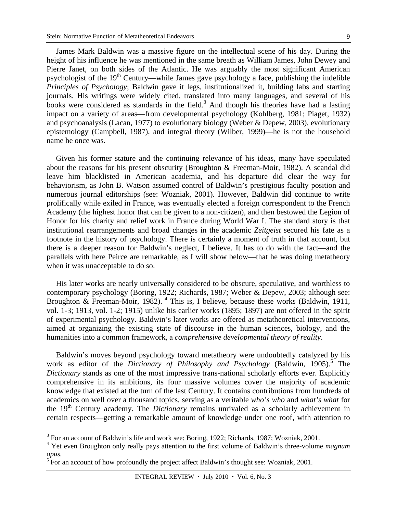9

James Mark Baldwin was a massive figure on the intellectual scene of his day. During the height of his influence he was mentioned in the same breath as William James, John Dewey and Pierre Janet, on both sides of the Atlantic. He was arguably the most significant American psychologist of the  $19<sup>th</sup>$  Century—while James gave psychology a face, publishing the indelible *Principles of Psychology*; Baldwin gave it legs, institutionalized it, building labs and starting journals. His writings were widely cited, translated into many languages, and several of his books were considered as standards in the field. $3$  And though his theories have had a lasting impact on a variety of areas—from developmental psychology (Kohlberg, 1981; Piaget, 1932) and psychoanalysis (Lacan, 1977) to evolutionary biology (Weber & Depew, 2003), evolutionary epistemology (Campbell, 1987), and integral theory (Wilber, 1999)—he is not the household name he once was.

Given his former stature and the continuing relevance of his ideas, many have speculated about the reasons for his present obscurity (Broughton & Freeman-Moir, 1982). A scandal did leave him blacklisted in American academia, and his departure did clear the way for behaviorism, as John B. Watson assumed control of Baldwin's prestigious faculty position and numerous journal editorships (see: Wozniak, 2001). However, Baldwin did continue to write prolifically while exiled in France, was eventually elected a foreign correspondent to the French Academy (the highest honor that can be given to a non-citizen), and then bestowed the Legion of Honor for his charity and relief work in France during World War I. The standard story is that institutional rearrangements and broad changes in the academic *Zeitgeist* secured his fate as a footnote in the history of psychology. There is certainly a moment of truth in that account, but there is a deeper reason for Baldwin's neglect, I believe. It has to do with the fact—and the parallels with here Peirce are remarkable, as I will show below—that he was doing metatheory when it was unacceptable to do so.

His later works are nearly universally considered to be obscure, speculative, and worthless to contemporary psychology (Boring, 1922; Richards, 1987; Weber & Depew, 2003; although see: Broughton & Freeman-Moir, 1982). <sup>4</sup> This is, I believe, because these works (Baldwin, 1911, vol. 1-3; 1913, vol. 1-2; 1915) unlike his earlier works (1895; 1897) are not offered in the spirit of experimental psychology. Baldwin's later works are offered as metatheoretical interventions, aimed at organizing the existing state of discourse in the human sciences, biology, and the humanities into a common framework, a *comprehensive developmental theory of reality*.

Baldwin's moves beyond psychology toward metatheory were undoubtedly catalyzed by his work as editor of the *Dictionary of Philosophy and Psychology* (Baldwin, 1905).<sup>5</sup> The *Dictionary* stands as one of the most impressive trans-national scholarly efforts ever. Explicitly comprehensive in its ambitions, its four massive volumes cover the majority of academic knowledge that existed at the turn of the last Century. It contains contributions from hundreds of academics on well over a thousand topics, serving as a veritable *who's who* and *what's what* for the 19<sup>th</sup> Century academy. The *Dictionary* remains unrivaled as a scholarly achievement in certain respects—getting a remarkable amount of knowledge under one roof, with attention to

 $\overline{a}$ 

 $3$  For an account of Baldwin's life and work see: Boring, 1922; Richards, 1987; Wozniak, 2001.

<sup>4</sup> Yet even Broughton only really pays attention to the first volume of Baldwin's three-volume *magnum opus.*

 $<sup>5</sup>$  For an account of how profoundly the project affect Baldwin's thought see: Wozniak, 2001.</sup>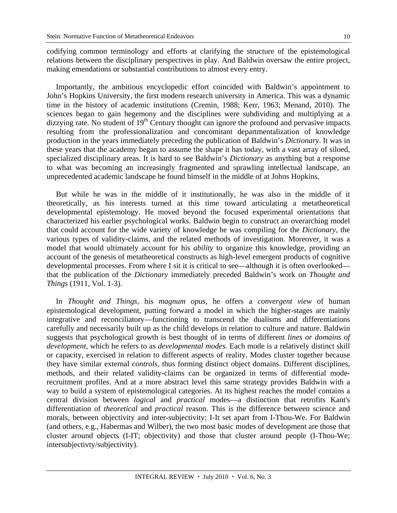codifying common terminology and efforts at clarifying the structure of the epistemological relations between the disciplinary perspectives in play. And Baldwin oversaw the entire project, making emendations or substantial contributions to almost every entry.

Importantly, the ambitious encyclopedic effort coincided with Baldwin's appointment to John's Hopkins University, the first modern research university in America. This was a dynamic time in the history of academic institutions (Cremin, 1988; Kerr, 1963; Menand, 2010). The sciences began to gain hegemony and the disciplines were subdividing and multiplying at a dizzying rate. No student of 19<sup>th</sup> Century thought can ignore the profound and pervasive impacts resulting from the professionalization and concomitant departmentalization of knowledge production in the years immediately preceding the publication of Baldwin's *Dictionary*. It was in these years that the academy began to assume the shape it has today, with a vast array of siloed, specialized disciplinary areas. It is hard to see Baldwin's *Dictionary* as anything but a response to what was becoming an increasingly fragmented and sprawling intellectual landscape, an unprecedented academic landscape he found himself in the middle of at Johns Hopkins.

But while he was in the middle of it institutionally, he was also in the middle of it theoretically, as his interests turned at this time toward articulating a metatheoretical developmental epistemology. He moved beyond the focused experimental orientations that characterized his earlier psychological works. Baldwin begin to construct an overarching model that could account for the wide variety of knowledge he was compiling for the *Dictionary*, the various types of validity-claims, and the related methods of investigation. Moreover, it was a model that would ultimately account for his *ability* to organize this knowledge, providing an account of the genesis of metatheoretical constructs as high-level emergent products of cognitive developmental processes. From where I sit it is critical to see—although it is often overlooked that the publication of the *Dictionary* immediately preceded Baldwin's work on *Thought and Things* (1911, Vol. 1-3).

In *Thought and Things,* his *magnum opus,* he offers a *convergent view* of human epistemological development, putting forward a model in which the higher-stages are mainly integrative and reconciliatory—functioning to transcend the dualisms and differentiations carefully and necessarily built up as the child develops in relation to culture and nature. Baldwin suggests that psychological growth is best thought of in terms of different *lines or domains of development*, which he refers to as *developmental modes*. Each mode is a relatively distinct skill or capacity, exercised in relation to different aspects of reality. Modes cluster together because they have similar external *controls,* thus forming distinct object domains. Different disciplines, methods, and their related validity-claims can be organized in terms of differential moderecruitment profiles. And at a more abstract level this same strategy provides Baldwin with a way to build a system of epistemological categories. At its highest reaches the model contains a central division between *logical* and *practical* modes—a distinction that retrofits Kant's differentiation of *theoretical* and *practical* reason. This is the difference between science and morals, between objectivity and inter-subjectivity; I-It set apart from I-Thou-We. For Baldwin (and others, e.g., Habermas and Wilber), the two most basic modes of development are those that cluster around objects (I-IT; objectivity) and those that cluster around people (I-Thou-We; intersubjectivty/subjectivity).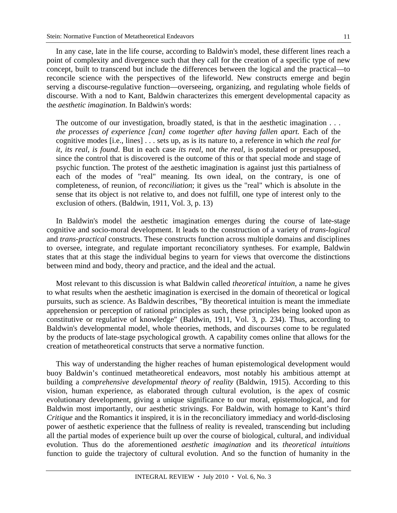In any case, late in the life course, according to Baldwin's model, these different lines reach a point of complexity and divergence such that they call for the creation of a specific type of new concept, built to transcend but include the differences between the logical and the practical—to reconcile science with the perspectives of the lifeworld. New constructs emerge and begin serving a discourse-regulative function—overseeing, organizing, and regulating whole fields of discourse. With a nod to Kant, Baldwin characterizes this emergent developmental capacity as the *aesthetic imagination*. In Baldwin's words:

The outcome of our investigation, broadly stated, is that in the aesthetic imagination . . . *the processes of experience [can] come together after having fallen apart.* Each of the cognitive modes [i.e., lines] . . . sets up, as is its nature to, a reference in which *the real for it, its real, is found*. But in each case *its real*, not *the real*, is postulated or presupposed, since the control that is discovered is the outcome of this or that special mode and stage of psychic function. The protest of the aesthetic imagination is against just this partialness of each of the modes of "real" meaning. Its own ideal, on the contrary, is one of completeness, of reunion, of *reconciliation*; it gives us the "real" which is absolute in the sense that its object is not relative to, and does not fulfill, one type of interest only to the exclusion of others. (Baldwin, 1911, Vol. 3, p. 13)

In Baldwin's model the aesthetic imagination emerges during the course of late-stage cognitive and socio-moral development. It leads to the construction of a variety of *trans-logical* and *trans-practical* constructs. These constructs function across multiple domains and disciplines to oversee, integrate, and regulate important reconciliatory syntheses. For example, Baldwin states that at this stage the individual begins to yearn for views that overcome the distinctions between mind and body, theory and practice, and the ideal and the actual.

Most relevant to this discussion is what Baldwin called *theoretical intuition*, a name he gives to what results when the aesthetic imagination is exercised in the domain of theoretical or logical pursuits, such as science. As Baldwin describes, "By theoretical intuition is meant the immediate apprehension or perception of rational principles as such, these principles being looked upon as constitutive or regulative of knowledge" (Baldwin, 1911, Vol. 3, p. 234). Thus, according to Baldwin's developmental model, whole theories, methods, and discourses come to be regulated by the products of late-stage psychological growth. A capability comes online that allows for the creation of metatheoretical constructs that serve a normative function.

This way of understanding the higher reaches of human epistemological development would buoy Baldwin's continued metatheoretical endeavors, most notably his ambitious attempt at building a *comprehensive developmental theory of reality* (Baldwin, 1915). According to this vision, human experience, as elaborated through cultural evolution, is the apex of cosmic evolutionary development, giving a unique significance to our moral, epistemological, and for Baldwin most importantly, our aesthetic strivings. For Baldwin, with homage to Kant's third *Critique* and the Romantics it inspired, it is in the reconciliatory immediacy and world-disclosing power of aesthetic experience that the fullness of reality is revealed, transcending but including all the partial modes of experience built up over the course of biological, cultural, and individual evolution. Thus do the aforementioned *aesthetic imagination* and its *theoretical intuitions* function to guide the trajectory of cultural evolution. And so the function of humanity in the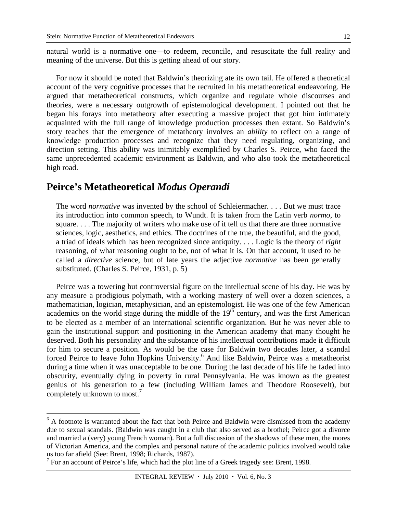natural world is a normative one—to redeem, reconcile, and resuscitate the full reality and meaning of the universe. But this is getting ahead of our story.

For now it should be noted that Baldwin's theorizing ate its own tail. He offered a theoretical account of the very cognitive processes that he recruited in his metatheoretical endeavoring. He argued that metatheoretical constructs, which organize and regulate whole discourses and theories, were a necessary outgrowth of epistemological development. I pointed out that he began his forays into metatheory after executing a massive project that got him intimately acquainted with the full range of knowledge production processes then extant. So Baldwin's story teaches that the emergence of metatheory involves an *ability* to reflect on a range of knowledge production processes and recognize that they need regulating, organizing, and direction setting. This ability was inimitably exemplified by Charles S. Peirce, who faced the same unprecedented academic environment as Baldwin, and who also took the metatheoretical high road.

#### **Peirce's Metatheoretical** *Modus Operandi*

1

The word *normative* was invented by the school of Schleiermacher. . . . But we must trace its introduction into common speech, to Wundt. It is taken from the Latin verb *normo*, to square. . . . The majority of writers who make use of it tell us that there are three normative sciences, logic, aesthetics, and ethics. The doctrines of the true, the beautiful, and the good, a triad of ideals which has been recognized since antiquity. . . . Logic is the theory of *right* reasoning, of what reasoning ought to be, not of what it is. On that account, it used to be called a *directive* science, but of late years the adjective *normative* has been generally substituted. (Charles S. Peirce, 1931, p. 5)

Peirce was a towering but controversial figure on the intellectual scene of his day. He was by any measure a prodigious polymath, with a working mastery of well over a dozen sciences, a mathematician, logician, metaphysician, and an epistemologist. He was one of the few American academics on the world stage during the middle of the  $19<sup>th</sup>$  century, and was the first American to be elected as a member of an international scientific organization. But he was never able to gain the institutional support and positioning in the American academy that many thought he deserved. Both his personality and the substance of his intellectual contributions made it difficult for him to secure a position. As would be the case for Baldwin two decades later, a scandal forced Peirce to leave John Hopkins University.<sup>6</sup> And like Baldwin, Peirce was a metatheorist during a time when it was unacceptable to be one. During the last decade of his life he faded into obscurity, eventually dying in poverty in rural Pennsylvania. He was known as the greatest genius of his generation to a few (including William James and Theodore Roosevelt), but completely unknown to most. $<sup>7</sup>$ </sup>

<sup>&</sup>lt;sup>6</sup> A footnote is warranted about the fact that both Peirce and Baldwin were dismissed from the academy due to sexual scandals. (Baldwin was caught in a club that also served as a brothel; Peirce got a divorce and married a (very) young French woman). But a full discussion of the shadows of these men, the mores of Victorian America, and the complex and personal nature of the academic politics involved would take us too far afield (See: Brent, 1998; Richards, 1987).

 $<sup>7</sup>$  For an account of Peirce's life, which had the plot line of a Greek tragedy see: Brent, 1998.</sup>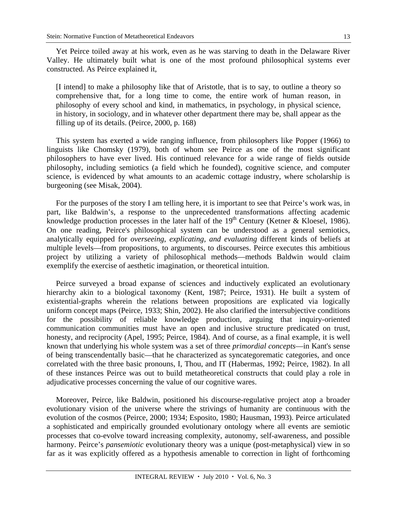Yet Peirce toiled away at his work, even as he was starving to death in the Delaware River Valley. He ultimately built what is one of the most profound philosophical systems ever constructed. As Peirce explained it,

[I intend] to make a philosophy like that of Aristotle, that is to say, to outline a theory so comprehensive that, for a long time to come, the entire work of human reason, in philosophy of every school and kind, in mathematics, in psychology, in physical science, in history, in sociology, and in whatever other department there may be, shall appear as the filling up of its details. (Peirce, 2000, p. 168)

This system has exerted a wide ranging influence, from philosophers like Popper (1966) to linguists like Chomsky (1979), both of whom see Peirce as one of the most significant philosophers to have ever lived. His continued relevance for a wide range of fields outside philosophy, including semiotics (a field which he founded), cognitive science, and computer science, is evidenced by what amounts to an academic cottage industry, where scholarship is burgeoning (see Misak, 2004).

For the purposes of the story I am telling here, it is important to see that Peirce's work was, in part, like Baldwin's, a response to the unprecedented transformations affecting academic knowledge production processes in the later half of the 19<sup>th</sup> Century (Ketner & Kloesel, 1986). On one reading, Peirce's philosophical system can be understood as a general semiotics, analytically equipped for *overseeing*, *explicating, and evaluating* different kinds of beliefs at multiple levels—from propositions, to arguments, to discourses. Peirce executes this ambitious project by utilizing a variety of philosophical methods—methods Baldwin would claim exemplify the exercise of aesthetic imagination, or theoretical intuition.

Peirce surveyed a broad expanse of sciences and inductively explicated an evolutionary hierarchy akin to a biological taxonomy (Kent, 1987; Peirce, 1931). He built a system of existential-graphs wherein the relations between propositions are explicated via logically uniform concept maps (Peirce, 1933; Shin, 2002). He also clarified the intersubjective conditions for the possibility of reliable knowledge production, arguing that inquiry-oriented communication communities must have an open and inclusive structure predicated on trust, honesty, and reciprocity (Apel, 1995; Peirce, 1984). And of course, as a final example, it is well known that underlying his whole system was a set of three *primordial concepts*—in Kant's sense of being transcendentally basic—that he characterized as syncategorematic categories, and once correlated with the three basic pronouns, I, Thou, and IT (Habermas, 1992; Peirce, 1982). In all of these instances Peirce was out to build metatheoretical constructs that could play a role in adjudicative processes concerning the value of our cognitive wares.

Moreover, Peirce, like Baldwin, positioned his discourse-regulative project atop a broader evolutionary vision of the universe where the strivings of humanity are continuous with the evolution of the cosmos (Peirce, 2000; 1934; Esposito, 1980; Hausman, 1993). Peirce articulated a sophisticated and empirically grounded evolutionary ontology where all events are semiotic processes that co-evolve toward increasing complexity, autonomy, self-awareness, and possible harmony. Peirce's *pansemiotic* evolutionary theory was a unique (post-metaphysical) view in so far as it was explicitly offered as a hypothesis amenable to correction in light of forthcoming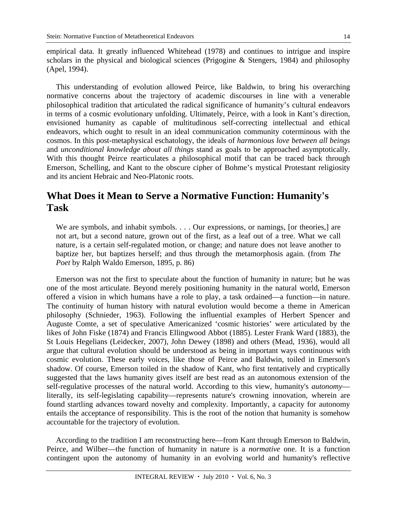empirical data. It greatly influenced Whitehead (1978) and continues to intrigue and inspire scholars in the physical and biological sciences (Prigogine & Stengers, 1984) and philosophy (Apel, 1994).

This understanding of evolution allowed Peirce, like Baldwin, to bring his overarching normative concerns about the trajectory of academic discourses in line with a venerable philosophical tradition that articulated the radical significance of humanity's cultural endeavors in terms of a cosmic evolutionary unfolding. Ultimately, Peirce, with a look in Kant's direction, envisioned humanity as capable of multitudinous self-correcting intellectual and ethical endeavors, which ought to result in an ideal communication community coterminous with the cosmos. In this post-metaphysical eschatology, the ideals of *harmonious love between all beings*  and *unconditional knowledge about all things* stand as goals to be approached asymptotically. With this thought Peirce rearticulates a philosophical motif that can be traced back through Emerson, Schelling, and Kant to the obscure cipher of Bohme's mystical Protestant religiosity and its ancient Hebraic and Neo-Platonic roots.

## **What Does it Mean to Serve a Normative Function: Humanity's Task**

We are symbols, and inhabit symbols. . . . Our expressions, or namings, [or theories,] are not art, but a second nature, grown out of the first, as a leaf out of a tree. What we call nature, is a certain self-regulated motion, or change; and nature does not leave another to baptize her, but baptizes herself; and thus through the metamorphosis again. (from *The Poet* by Ralph Waldo Emerson, 1895, p. 86)

Emerson was not the first to speculate about the function of humanity in nature; but he was one of the most articulate. Beyond merely positioning humanity in the natural world, Emerson offered a vision in which humans have a role to play, a task ordained—a function—in nature. The continuity of human history with natural evolution would become a theme in American philosophy (Schnieder, 1963). Following the influential examples of Herbert Spencer and Auguste Comte, a set of speculative Americanized 'cosmic histories' were articulated by the likes of John Fiske (1874) and Francis Ellingwood Abbot (1885). Lester Frank Ward (1883), the St Louis Hegelians (Leidecker, 2007), John Dewey (1898) and others (Mead, 1936), would all argue that cultural evolution should be understood as being in important ways continuous with cosmic evolution. These early voices, like those of Peirce and Baldwin, toiled in Emerson's shadow. Of course, Emerson toiled in the shadow of Kant, who first tentatively and cryptically suggested that the laws humanity gives itself are best read as an autonomous extension of the self-regulative processes of the natural world. According to this view, humanity's *autonomy* literally, its self-legislating capability—represents nature's crowning innovation, wherein are found startling advances toward novelty and complexity. Importantly, a capacity for autonomy entails the acceptance of responsibility. This is the root of the notion that humanity is somehow accountable for the trajectory of evolution.

According to the tradition I am reconstructing here—from Kant through Emerson to Baldwin, Peirce, and Wilber—the function of humanity in nature is a *normative* one. It is a function contingent upon the autonomy of humanity in an evolving world and humanity's reflective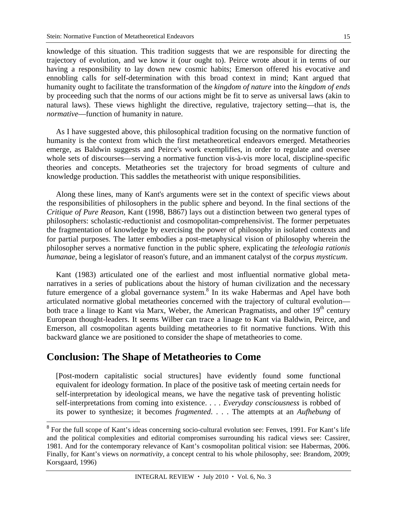knowledge of this situation. This tradition suggests that we are responsible for directing the trajectory of evolution, and we know it (our ought to). Peirce wrote about it in terms of our having a responsibility to lay down new cosmic habits; Emerson offered his evocative and ennobling calls for self-determination with this broad context in mind; Kant argued that humanity ought to facilitate the transformation of the *kingdom of nature* into the *kingdom of ends* by proceeding such that the norms of our actions might be fit to serve as universal laws (akin to natural laws). These views highlight the directive, regulative, trajectory setting—that is, the *normative*—function of humanity in nature.

As I have suggested above, this philosophical tradition focusing on the normative function of humanity is the context from which the first metatheoretical endeavors emerged. Metatheories emerge, as Baldwin suggests and Peirce's work exemplifies, in order to regulate and oversee whole sets of discourses—serving a normative function vis-à-vis more local, discipline-specific theories and concepts. Metatheories set the trajectory for broad segments of culture and knowledge production. This saddles the metatheorist with unique responsibilities.

Along these lines, many of Kant's arguments were set in the context of specific views about the responsibilities of philosophers in the public sphere and beyond. In the final sections of the *Critique of Pure Reason,* Kant (1998, B867) lays out a distinction between two general types of philosophers: scholastic-reductionist and cosmopolitan-comprehensivist. The former perpetuates the fragmentation of knowledge by exercising the power of philosophy in isolated contexts and for partial purposes. The latter embodies a post-metaphysical vision of philosophy wherein the philosopher serves a normative function in the public sphere, explicating the *teleologia rationis humanae*, being a legislator of reason's future, and an immanent catalyst of the *corpus mysticum*.

Kant (1983) articulated one of the earliest and most influential normative global metanarratives in a series of publications about the history of human civilization and the necessary future emergence of a global governance system.<sup>8</sup> In its wake Habermas and Apel have both articulated normative global metatheories concerned with the trajectory of cultural evolution both trace a linage to Kant via Marx, Weber, the American Pragmatists, and other  $19<sup>th</sup>$  century European thought-leaders. It seems Wilber can trace a linage to Kant via Baldwin, Peirce, and Emerson, all cosmopolitan agents building metatheories to fit normative functions. With this backward glance we are positioned to consider the shape of metatheories to come.

## **Conclusion: The Shape of Metatheories to Come**

<u>.</u>

[Post-modern capitalistic social structures] have evidently found some functional equivalent for ideology formation. In place of the positive task of meeting certain needs for self-interpretation by ideological means, we have the negative task of preventing holistic self-interpretations from coming into existence. . . . *Everyday consciousness* is robbed of its power to synthesize; it becomes *fragmented*. . . . The attempts at an *Aufhebung* of

<sup>&</sup>lt;sup>8</sup> For the full scope of Kant's ideas concerning socio-cultural evolution see: Fenves, 1991. For Kant's life and the political complexities and editorial compromises surrounding his radical views see: Cassirer, 1981. And for the contemporary relevance of Kant's cosmopolitan political vision: see Habermas, 2006. Finally, for Kant's views on *normativity*, a concept central to his whole philosophy, see: Brandom, 2009; Korsgaard, 1996)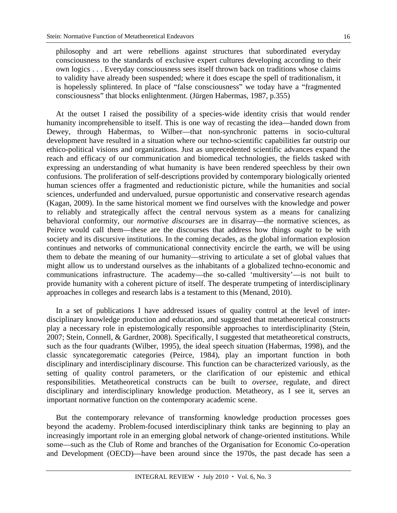philosophy and art were rebellions against structures that subordinated everyday consciousness to the standards of exclusive expert cultures developing according to their own logics . . . Everyday consciousness sees itself thrown back on traditions whose claims to validity have already been suspended; where it does escape the spell of traditionalism, it is hopelessly splintered. In place of "false consciousness" we today have a "fragmented consciousness" that blocks enlightenment. (Jürgen Habermas, 1987, p.355)

At the outset I raised the possibility of a species-wide identity crisis that would render humanity incomprehensible to itself. This is one way of recasting the idea—handed down from Dewey, through Habermas, to Wilber—that non-synchronic patterns in socio-cultural development have resulted in a situation where our techno-scientific capabilities far outstrip our ethico-political visions and organizations. Just as unprecedented scientific advances expand the reach and efficacy of our communication and biomedical technologies, the fields tasked with expressing an understanding of what humanity is have been rendered speechless by their own confusions. The proliferation of self-descriptions provided by contemporary biologically oriented human sciences offer a fragmented and reductionistic picture, while the humanities and social sciences, underfunded and undervalued, pursue opportunistic and conservative research agendas (Kagan, 2009). In the same historical moment we find ourselves with the knowledge and power to reliably and strategically affect the central nervous system as a means for canalizing behavioral conformity, our *normative discourses* are in disarray—the normative sciences, as Peirce would call them—these are the discourses that address how things *ought* to be with society and its discursive institutions. In the coming decades, as the global information explosion continues and networks of communicational connectivity encircle the earth, we will be using them to debate the meaning of our humanity—striving to articulate a set of global values that might allow us to understand ourselves as the inhabitants of a globalized techno-economic and communications infrastructure. The academy—the so-called 'multiversity'—is not built to provide humanity with a coherent picture of itself. The desperate trumpeting of interdisciplinary approaches in colleges and research labs is a testament to this (Menand, 2010).

In a set of publications I have addressed issues of quality control at the level of interdisciplinary knowledge production and education, and suggested that metatheoretical constructs play a necessary role in epistemologically responsible approaches to interdisciplinarity (Stein, 2007; Stein, Connell, & Gardner, 2008). Specifically, I suggested that metatheoretical constructs, such as the four quadrants (Wilber, 1995), the ideal speech situation (Habermas, 1998), and the classic syncategorematic categories (Peirce, 1984), play an important function in both disciplinary and interdisciplinary discourse. This function can be characterized variously, as the setting of quality control parameters, or the clarification of our epistemic and ethical responsibilities. Metatheoretical constructs can be built to *oversee,* regulate, and direct disciplinary and interdisciplinary knowledge production. Metatheory, as I see it, serves an important normative function on the contemporary academic scene.

But the contemporary relevance of transforming knowledge production processes goes beyond the academy. Problem-focused interdisciplinary think tanks are beginning to play an increasingly important role in an emerging global network of change-oriented institutions. While some—such as the Club of Rome and branches of the Organisation for Economic Co-operation and Development (OECD)—have been around since the 1970s, the past decade has seen a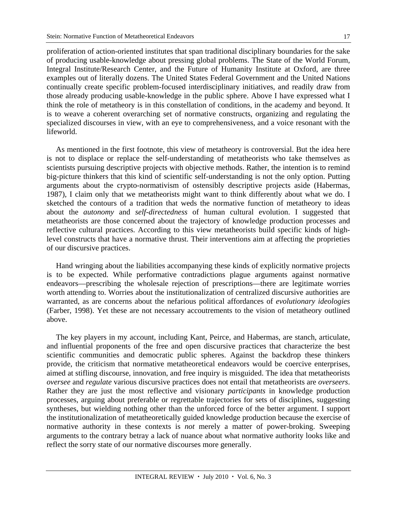proliferation of action-oriented institutes that span traditional disciplinary boundaries for the sake of producing usable-knowledge about pressing global problems. The State of the World Forum, Integral Institute/Research Center, and the Future of Humanity Institute at Oxford, are three examples out of literally dozens. The United States Federal Government and the United Nations continually create specific problem-focused interdisciplinary initiatives, and readily draw from those already producing usable-knowledge in the public sphere. Above I have expressed what I think the role of metatheory is in this constellation of conditions, in the academy and beyond. It is to weave a coherent overarching set of normative constructs, organizing and regulating the specialized discourses in view, with an eye to comprehensiveness, and a voice resonant with the lifeworld.

As mentioned in the first footnote, this view of metatheory is controversial. But the idea here is not to displace or replace the self-understanding of metatheorists who take themselves as scientists pursuing descriptive projects with objective methods. Rather, the intention is to remind big-picture thinkers that this kind of scientific self-understanding is not the only option. Putting arguments about the crypto-normativism of ostensibly descriptive projects aside (Habermas, 1987), I claim only that we metatheorists might want to think differently about what we do. I sketched the contours of a tradition that weds the normative function of metatheory to ideas about the *autonomy* and *self-directedness* of human cultural evolution. I suggested that metatheorists are those concerned about the trajectory of knowledge production processes and reflective cultural practices. According to this view metatheorists build specific kinds of highlevel constructs that have a normative thrust. Their interventions aim at affecting the proprieties of our discursive practices.

Hand wringing about the liabilities accompanying these kinds of explicitly normative projects is to be expected. While performative contradictions plague arguments against normative endeavors—prescribing the wholesale rejection of prescriptions—there are legitimate worries worth attending to. Worries about the institutionalization of centralized discursive authorities are warranted, as are concerns about the nefarious political affordances of *evolutionary ideologies*  (Farber, 1998). Yet these are not necessary accoutrements to the vision of metatheory outlined above.

The key players in my account, including Kant, Peirce, and Habermas, are stanch, articulate, and influential proponents of the free and open discursive practices that characterize the best scientific communities and democratic public spheres. Against the backdrop these thinkers provide, the criticism that normative metatheoretical endeavors would be coercive enterprises, aimed at stifling discourse, innovation, and free inquiry is misguided. The idea that metatheorists *oversee* and *regulate* various discursive practices does not entail that metatheorists are *overseers*. Rather they are just the most reflective and visionary *participants* in knowledge production processes, arguing about preferable or regrettable trajectories for sets of disciplines, suggesting syntheses, but wielding nothing other than the unforced force of the better argument. I support the institutionalization of metatheoretically guided knowledge production because the exercise of normative authority in these contexts is *not* merely a matter of power-broking. Sweeping arguments to the contrary betray a lack of nuance about what normative authority looks like and reflect the sorry state of our normative discourses more generally.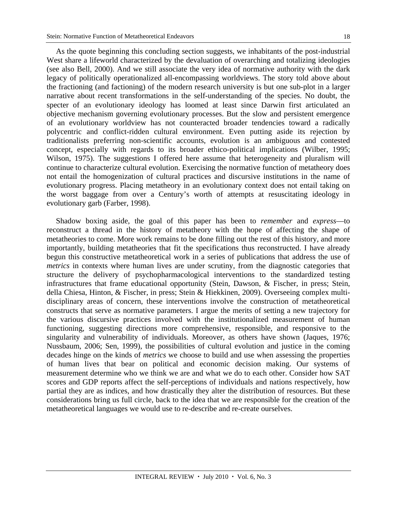As the quote beginning this concluding section suggests, we inhabitants of the post-industrial West share a lifeworld characterized by the devaluation of overarching and totalizing ideologies (see also Bell, 2000). And we still associate the very idea of normative authority with the dark legacy of politically operationalized all-encompassing worldviews. The story told above about the fractioning (and factioning) of the modern research university is but one sub-plot in a larger narrative about recent transformations in the self-understanding of the species. No doubt, the specter of an evolutionary ideology has loomed at least since Darwin first articulated an objective mechanism governing evolutionary processes. But the slow and persistent emergence of an evolutionary worldview has not counteracted broader tendencies toward a radically polycentric and conflict-ridden cultural environment. Even putting aside its rejection by traditionalists preferring non-scientific accounts, evolution is an ambiguous and contested concept, especially with regards to its broader ethico-political implications (Wilber, 1995; Wilson, 1975). The suggestions I offered here assume that heterogeneity and pluralism will continue to characterize cultural evolution. Exercising the normative function of metatheory does

not entail the homogenization of cultural practices and discursive institutions in the name of evolutionary progress. Placing metatheory in an evolutionary context does not entail taking on the worst baggage from over a Century's worth of attempts at resuscitating ideology in evolutionary garb (Farber, 1998).

Shadow boxing aside, the goal of this paper has been to *remember* and *express*—to reconstruct a thread in the history of metatheory with the hope of affecting the shape of metatheories to come. More work remains to be done filling out the rest of this history, and more importantly, building metatheories that fit the specifications thus reconstructed. I have already begun this constructive metatheoretical work in a series of publications that address the use of *metrics* in contexts where human lives are under scrutiny, from the diagnostic categories that structure the delivery of psychopharmacological interventions to the standardized testing infrastructures that frame educational opportunity (Stein, Dawson, & Fischer, in press; Stein, della Chiesa, Hinton, & Fischer, in press; Stein & Hiekkinen, 2009). Overseeing complex multidisciplinary areas of concern, these interventions involve the construction of metatheoretical constructs that serve as normative parameters. I argue the merits of setting a new trajectory for the various discursive practices involved with the institutionalized measurement of human functioning, suggesting directions more comprehensive, responsible, and responsive to the singularity and vulnerability of individuals. Moreover, as others have shown (Jaques, 1976; Nussbaum, 2006; Sen, 1999), the possibilities of cultural evolution and justice in the coming decades hinge on the kinds of *metrics* we choose to build and use when assessing the properties of human lives that bear on political and economic decision making. Our systems of measurement determine who we think we are and what we do to each other. Consider how SAT scores and GDP reports affect the self-perceptions of individuals and nations respectively, how partial they are as indices, and how drastically they alter the distribution of resources. But these considerations bring us full circle, back to the idea that we are responsible for the creation of the metatheoretical languages we would use to re-describe and re-create ourselves.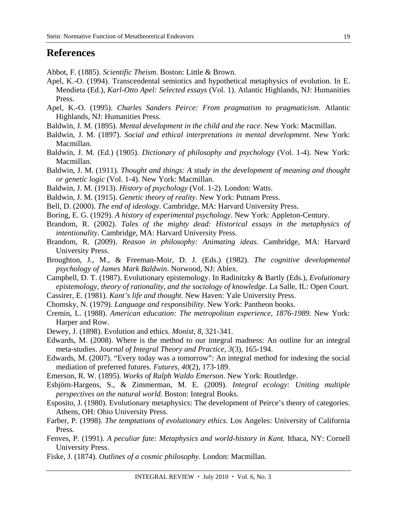#### **References**

Abbot, F. (1885). *Scientific Theism*. Boston: Little & Brown.

- Apel, K.-O. (1994). Transcendental semiotics and hypothetical metaphysics of evolution. In E. Mendieta (Ed.), *Karl-Otto Apel: Selected essays* (Vol. 1). Atlantic Highlands, NJ: Humanities Press.
- Apel, K.-O. (1995). *Charles Sanders Peirce: From pragmatism to pragmaticism*. Atlantic Highlands, NJ: Humanities Press.
- Baldwin, J. M. (1895). *Mental development in the child and the race*. New York: Macmillan.
- Baldwin, J. M. (1897). *Social and ethical interpretations in mental development*. New York: Macmillan.
- Baldwin, J. M. (Ed.) (1905). *Dictionary of philosophy and psychology* (Vol. 1-4). New York: Macmillan.
- Baldwin, J. M. (1911). *Thought and things: A study in the development of meaning and thought or genetic logic* (Vol. 1-4). New York: Macmillan.
- Baldwin, J. M. (1913). *History of psychology* (Vol. 1-2). London: Watts.
- Baldwin, J. M. (1915). *Genetic theory of reality*. New York: Putnam Press.
- Bell, D. (2000). *The end of ideology*. Cambridge, MA: Harvard University Press.
- Boring, E. G. (1929). *A history of experimental psychology*. New York: Appleton-Century.
- Brandom, R. (2002). *Tales of the mighty dead: Historical essays in the metaphysics of intentionality*. Cambridge, MA: Harvard University Press.
- Brandom, R. (2009). *Reason in philosophy: Animating ideas.* Cambridge, MA: Harvard University Press.
- Broughton, J., M., & Freeman-Moir, D. J. (Eds.) (1982). *The cognitive developmental psychology of James Mark Baldwin*. Norwood, NJ: Ablex.
- Campbell, D. T. (1987). Evolutionary epistemology. In Radinitzky & Bartly (Eds.), *Evolutionary epistemology, theory of rationality, and the sociology of knowledge*. La Salle, IL: Open Court.
- Cassirer, E. (1981). *Kant's life and thought.* New Haven: Yale University Press.
- Chomsky, N. (1979). *Language and responsibility.* New York: Pantheon books.
- Cremin, L. (1988). *American education: The metropolitan experience, 1876-1989.* New York: Harper and Row.
- Dewey, J. (1898). Evolution and ethics. *Monist*, *8*, 321-341.
- Edwards, M. (2008). Where is the method to our integral madness: An outline for an integral meta-studies. *Journal of Integral Theory and Practice, 3*(3), 165-194.
- Edwards, M. (2007). "Every today was a tomorrow": An integral method for indexing the social mediation of preferred futures. *Futures, 40*(2), 173-189.
- Emerson, R. W. (1895). *Works of Ralph Waldo Emerson*. New York: Routledge.
- Esbjörn-Hargens, S., & Zimmerman, M. E. (2009). *Integral ecology: Uniting multiple perspectives on the natural world.* Boston: Integral Books.
- Esposito, J. (1980). Evolutionary metaphysics: The development of Peirce's theory of categories. Athens, OH: Ohio University Press.
- Farber, P. (1998). *The temptations of evolutionary ethics.* Los Angeles: University of California Press.
- Fenves, P. (1991). *A peculiar fate: Metaphysics and world-history in Kant.* Ithaca, NY: Cornell University Press.
- Fiske, J. (1874). *Outlines of a cosmic philosophy*. London: Macmillan.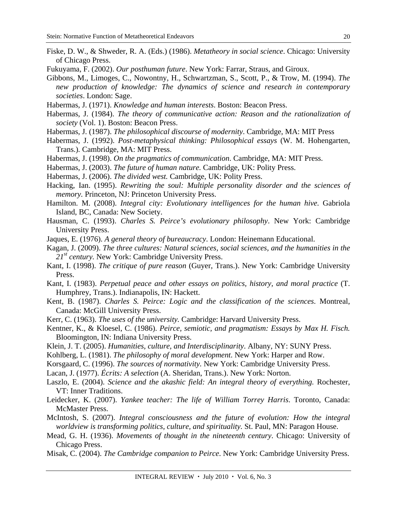- Fiske, D. W., & Shweder, R. A. (Eds.) (1986). *Metatheory in social science*. Chicago: University of Chicago Press.
- Fukuyama, F. (2002). *Our posthuman future*. New York: Farrar, Straus, and Giroux.
- Gibbons, M., Limoges, C., Nowontny, H., Schwartzman, S., Scott, P., & Trow, M. (1994). *The new production of knowledge: The dynamics of science and research in contemporary societies*. London: Sage.
- Habermas, J. (1971). *Knowledge and human interests*. Boston: Beacon Press.
- Habermas, J. (1984). *The theory of communicative action: Reason and the rationalization of society* (Vol. 1). Boston: Beacon Press.
- Habermas, J. (1987). *The philosophical discourse of modernity*. Cambridge, MA: MIT Press
- Habermas, J. (1992). *Post-metaphysical thinking: Philosophical essays* (W. M. Hohengarten, Trans.)*.* Cambridge, MA: MIT Press.
- Habermas, J. (1998). *On the pragmatics of communication*. Cambridge, MA: MIT Press.
- Habermas, J. (2003). *The future of human nature.* Cambridge, UK: Polity Press.
- Habermas, J. (2006). *The divided west.* Cambridge, UK: Polity Press.
- Hacking, Ian. (1995). *Rewriting the soul: Multiple personality disorder and the sciences of memory.* Princeton, NJ: Princeton University Press.
- Hamilton. M. (2008). *Integral city: Evolutionary intelligences for the human hive.* Gabriola Island, BC, Canada: New Society.
- Hausman, C. (1993). *Charles S. Peirce's evolutionary philosophy*. New York: Cambridge University Press.
- Jaques, E. (1976). *A general theory of bureaucracy*. London: Heinemann Educational.
- Kagan, J. (2009). *The three cultures: Natural sciences, social sciences, and the humanities in the*  21<sup>st</sup> century. New York: Cambridge University Press.
- Kant, I. (1998). *The critique of pure reason* (Guyer, Trans.). New York: Cambridge University Press.
- Kant, I. (1983). *Perpetual peace and other essays on politics, history, and moral practice* (T. Humphrey, Trans.). Indianapolis, IN: Hackett.
- Kent, B. (1987). *Charles S. Peirce: Logic and the classification of the sciences*. Montreal, Canada: McGill University Press.
- Kerr, C. (1963). *The uses of the university.* Cambridge: Harvard University Press.
- Kentner, K., & Kloesel, C. (1986). *Peirce, semiotic, and pragmatism: Essays by Max H. Fisch.*  Bloomington, IN: Indiana University Press.
- Klein, J. T. (2005). *Humanities, culture, and Interdisciplinarity*. Albany, NY: SUNY Press.
- Kohlberg, L. (1981). *The philosophy of moral development*. New York: Harper and Row.
- Korsgaard, C. (1996). *The sources of normativity.* New York: Cambridge University Press.
- Lacan, J. (1977). *Écrits: A selection* (A. Sheridan, Trans.). New York: Norton.
- Laszlo, E. (2004). *Science and the akashic field: An integral theory of everything.* Rochester, VT: Inner Traditions.
- Leidecker, K. (2007). *Yankee teacher: The life of William Torrey Harris*. Toronto, Canada: McMaster Press.
- McIntosh, S. (2007). *Integral consciousness and the future of evolution: How the integral worldview is transforming politics, culture, and spirituality.* St. Paul, MN: Paragon House.
- Mead, G. H. (1936). *Movements of thought in the nineteenth century*. Chicago: University of Chicago Press.
- Misak, C. (2004). *The Cambridge companion to Peirce*. New York: Cambridge University Press.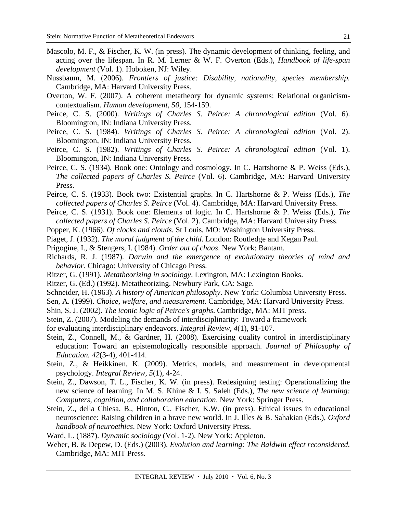- Mascolo, M. F., & Fischer, K. W. (in press). The dynamic development of thinking, feeling, and acting over the lifespan. In R. M. Lerner & W. F. Overton (Eds.), *Handbook of life-span development* (Vol. 1). Hoboken, NJ: Wiley.
- Nussbaum, M. (2006). *Frontiers of justice: Disability, nationality, species membership.* Cambridge, MA: Harvard University Press.
- Overton, W. F. (2007). A coherent metatheory for dynamic systems: Relational organicismcontextualism. *Human development, 50*, 154-159.
- Peirce, C. S. (2000). *Writings of Charles S. Peirce: A chronological edition* (Vol. 6). Bloomington, IN: Indiana University Press.
- Peirce, C. S. (1984). *Writings of Charles S. Peirce: A chronological edition* (Vol. 2). Bloomington, IN: Indiana University Press.
- Peirce, C. S. (1982). *Writings of Charles S. Peirce: A chronological edition* (Vol. 1). Bloomington, IN: Indiana University Press.
- Peirce, C. S. (1934). Book one: Ontology and cosmology. In C. Hartshorne & P. Weiss (Eds.), *The collected papers of Charles S. Peirce* (Vol. 6). Cambridge, MA: Harvard University Press.
- Peirce, C. S. (1933). Book two: Existential graphs. In C. Hartshorne & P. Weiss (Eds.), *The collected papers of Charles S. Peirce* (Vol. 4). Cambridge, MA: Harvard University Press.
- Peirce, C. S. (1931). Book one: Elements of logic. In C. Hartshorne & P. Weiss (Eds.), *The collected papers of Charles S. Peirce* (Vol. 2). Cambridge, MA: Harvard University Press.
- Popper, K. (1966). *Of clocks and clouds*. St Louis, MO: Washington University Press.
- Piaget, J. (1932). *The moral judgment of the child*. London: Routledge and Kegan Paul.
- Prigogine, I., & Stengers, I. (1984). *Order out of chaos*. New York: Bantam.
- Richards, R. J. (1987). *Darwin and the emergence of evolutionary theories of mind and behavior*. Chicago: University of Chicago Press.
- Ritzer, G. (1991). *Metatheorizing in sociology*. Lexington, MA: Lexington Books.
- Ritzer, G. (Ed.) (1992). Metatheorizing. Newbury Park, CA: Sage.
- Schneider, H. (1963). *A history of American philosophy*. New York: Columbia University Press.
- Sen, A. (1999). *Choice, welfare, and measurement.* Cambridge, MA: Harvard University Press.
- Shin, S. J. (2002). *The iconic logic of Peirce's graphs*. Cambridge, MA: MIT press.
- Stein, Z. (2007). Modeling the demands of interdisciplinarity: Toward a framework
- for evaluating interdisciplinary endeavors. *Integral Review*, *4*(1), 91-107.
- Stein, Z., Connell, M., & Gardner, H. (2008). Exercising quality control in interdisciplinary education: Toward an epistemologically responsible approach. *Journal of Philosophy of Education. 42*(3-4), 401-414.
- Stein, Z., & Heikkinen, K. (2009). Metrics, models, and measurement in developmental psychology. *Integral Review, 5*(1), 4-24.
- Stein, Z., Dawson, T. L., Fischer, K. W. (in press). Redesigning testing: Operationalizing the new science of learning. In M. S. Khine & I. S. Saleh (Eds.), *The new science of learning: Computers, cognition, and collaboration education*. New York: Springer Press.
- Stein, Z., della Chiesa, B., Hinton, C., Fischer, K.W. (in press). Ethical issues in educational neuroscience: Raising children in a brave new world. In J. Illes & B. Sahakian (Eds.), *Oxford handbook of neuroethics*. New York: Oxford University Press.
- Ward, L. (1887). *Dynamic sociology* (Vol. 1-2). New York: Appleton.
- Weber, B. & Depew, D. (Eds.) (2003). *Evolution and learning: The Baldwin effect reconsidered.*  Cambridge, MA: MIT Press.